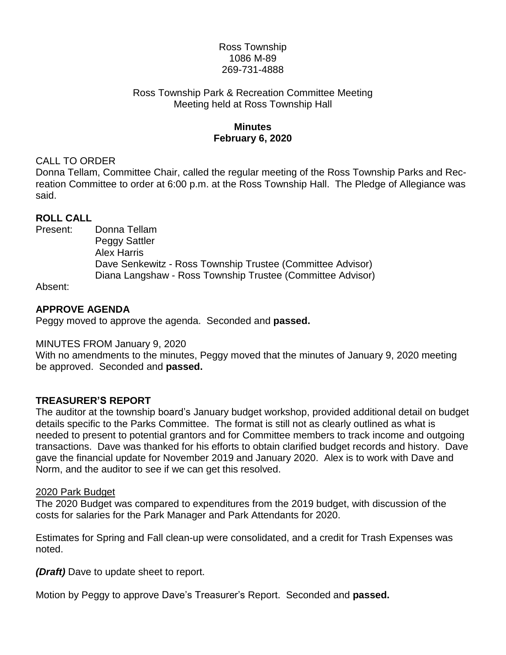## Ross Township 1086 M-89 269-731-4888

#### Ross Township Park & Recreation Committee Meeting Meeting held at Ross Township Hall

# **Minutes February 6, 2020**

## CALL TO ORDER

Donna Tellam, Committee Chair, called the regular meeting of the Ross Township Parks and Recreation Committee to order at 6:00 p.m. at the Ross Township Hall. The Pledge of Allegiance was said.

## **ROLL CALL**

Present: Donna Tellam Peggy Sattler Alex Harris Dave Senkewitz - Ross Township Trustee (Committee Advisor) Diana Langshaw - Ross Township Trustee (Committee Advisor)

Absent:

## **APPROVE AGENDA**

Peggy moved to approve the agenda. Seconded and **passed.**

## MINUTES FROM January 9, 2020

With no amendments to the minutes, Peggy moved that the minutes of January 9, 2020 meeting be approved. Seconded and **passed.**

## **TREASURER'S REPORT**

The auditor at the township board's January budget workshop, provided additional detail on budget details specific to the Parks Committee. The format is still not as clearly outlined as what is needed to present to potential grantors and for Committee members to track income and outgoing transactions. Dave was thanked for his efforts to obtain clarified budget records and history. Dave gave the financial update for November 2019 and January 2020. Alex is to work with Dave and Norm, and the auditor to see if we can get this resolved.

## 2020 Park Budget

The 2020 Budget was compared to expenditures from the 2019 budget, with discussion of the costs for salaries for the Park Manager and Park Attendants for 2020.

Estimates for Spring and Fall clean-up were consolidated, and a credit for Trash Expenses was noted.

*(Draft)* Dave to update sheet to report.

Motion by Peggy to approve Dave's Treasurer's Report. Seconded and **passed.**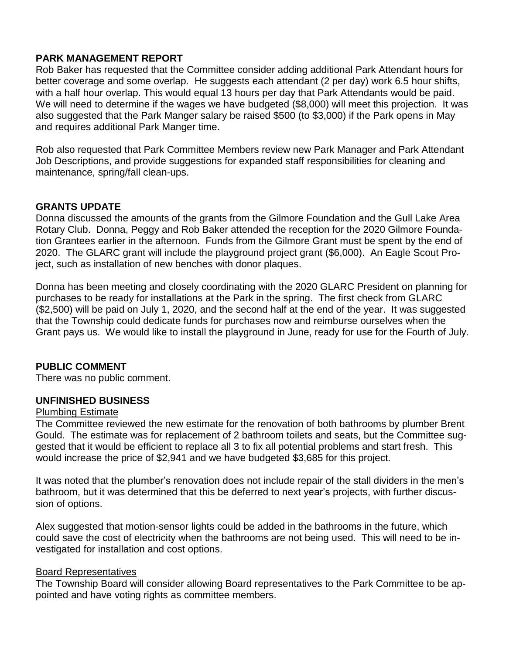## **PARK MANAGEMENT REPORT**

Rob Baker has requested that the Committee consider adding additional Park Attendant hours for better coverage and some overlap. He suggests each attendant (2 per day) work 6.5 hour shifts, with a half hour overlap. This would equal 13 hours per day that Park Attendants would be paid. We will need to determine if the wages we have budgeted (\$8,000) will meet this projection. It was also suggested that the Park Manger salary be raised \$500 (to \$3,000) if the Park opens in May and requires additional Park Manger time.

Rob also requested that Park Committee Members review new Park Manager and Park Attendant Job Descriptions, and provide suggestions for expanded staff responsibilities for cleaning and maintenance, spring/fall clean-ups.

## **GRANTS UPDATE**

Donna discussed the amounts of the grants from the Gilmore Foundation and the Gull Lake Area Rotary Club. Donna, Peggy and Rob Baker attended the reception for the 2020 Gilmore Foundation Grantees earlier in the afternoon. Funds from the Gilmore Grant must be spent by the end of 2020. The GLARC grant will include the playground project grant (\$6,000). An Eagle Scout Project, such as installation of new benches with donor plaques.

Donna has been meeting and closely coordinating with the 2020 GLARC President on planning for purchases to be ready for installations at the Park in the spring. The first check from GLARC (\$2,500) will be paid on July 1, 2020, and the second half at the end of the year. It was suggested that the Township could dedicate funds for purchases now and reimburse ourselves when the Grant pays us. We would like to install the playground in June, ready for use for the Fourth of July.

## **PUBLIC COMMENT**

There was no public comment.

## **UNFINISHED BUSINESS**

#### Plumbing Estimate

The Committee reviewed the new estimate for the renovation of both bathrooms by plumber Brent Gould. The estimate was for replacement of 2 bathroom toilets and seats, but the Committee suggested that it would be efficient to replace all 3 to fix all potential problems and start fresh. This would increase the price of \$2,941 and we have budgeted \$3,685 for this project.

It was noted that the plumber's renovation does not include repair of the stall dividers in the men's bathroom, but it was determined that this be deferred to next year's projects, with further discussion of options.

Alex suggested that motion-sensor lights could be added in the bathrooms in the future, which could save the cost of electricity when the bathrooms are not being used. This will need to be investigated for installation and cost options.

## Board Representatives

The Township Board will consider allowing Board representatives to the Park Committee to be appointed and have voting rights as committee members.